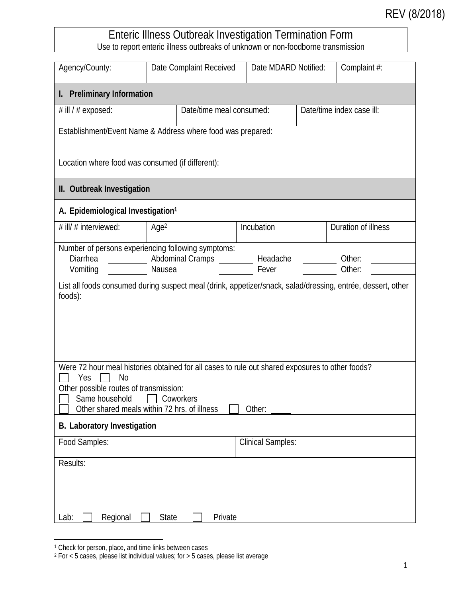## REV (8/2018)

## Enteric Illness Outbreak Investigation Termination Form Use to report enteric illness outbreaks of unknown or non-foodborne transmission

| Agency/County:                                                                                                                                                                                                                                  | Date Complaint Received                                                                                     | Date MDARD Notified:     |  | Complaint #:              |  |  |
|-------------------------------------------------------------------------------------------------------------------------------------------------------------------------------------------------------------------------------------------------|-------------------------------------------------------------------------------------------------------------|--------------------------|--|---------------------------|--|--|
| <b>Preliminary Information</b><br>I.                                                                                                                                                                                                            |                                                                                                             |                          |  |                           |  |  |
| # ill / # exposed:                                                                                                                                                                                                                              | Date/time meal consumed:                                                                                    |                          |  | Date/time index case ill: |  |  |
| Establishment/Event Name & Address where food was prepared:                                                                                                                                                                                     |                                                                                                             |                          |  |                           |  |  |
| Location where food was consumed (if different):                                                                                                                                                                                                |                                                                                                             |                          |  |                           |  |  |
| II. Outbreak Investigation                                                                                                                                                                                                                      |                                                                                                             |                          |  |                           |  |  |
| A. Epidemiological Investigation <sup>1</sup>                                                                                                                                                                                                   |                                                                                                             |                          |  |                           |  |  |
| # ill/ # interviewed:                                                                                                                                                                                                                           | Age <sup>2</sup>                                                                                            | Incubation               |  | Duration of illness       |  |  |
| Diarrhea<br>Vomiting                                                                                                                                                                                                                            | Number of persons experiencing following symptoms:<br><b>Abdominal Cramps</b><br>Nausea                     | Headache<br>Fever        |  | Other:<br>Other:          |  |  |
| foods):                                                                                                                                                                                                                                         | List all foods consumed during suspect meal (drink, appetizer/snack, salad/dressing, entrée, dessert, other |                          |  |                           |  |  |
| Were 72 hour meal histories obtained for all cases to rule out shared exposures to other foods?<br>Yes<br>No<br>Other possible routes of transmission:<br>Same household<br>Coworkers<br>Other shared meals within 72 hrs. of illness<br>Other: |                                                                                                             |                          |  |                           |  |  |
| B. Laboratory Investigation                                                                                                                                                                                                                     |                                                                                                             |                          |  |                           |  |  |
| Food Samples:                                                                                                                                                                                                                                   |                                                                                                             | <b>Clinical Samples:</b> |  |                           |  |  |
| Results:                                                                                                                                                                                                                                        |                                                                                                             |                          |  |                           |  |  |
| Regional<br>Private<br>Lab:<br><b>State</b>                                                                                                                                                                                                     |                                                                                                             |                          |  |                           |  |  |

<sup>&</sup>lt;sup>1</sup> Check for person, place, and time links between cases

<sup>2</sup> For < 5 cases, please list individual values; for > 5 cases, please list average